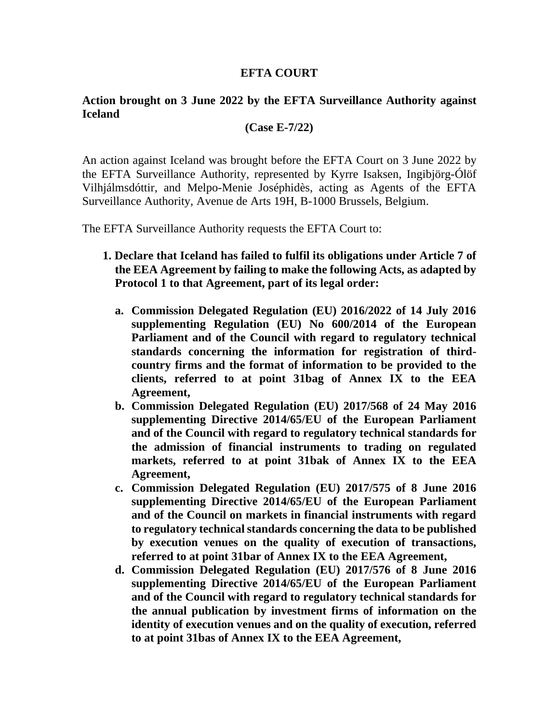### **EFTA COURT**

# **Action brought on 3 June 2022 by the EFTA Surveillance Authority against Iceland**

#### **(Case E-7/22)**

An action against Iceland was brought before the EFTA Court on 3 June 2022 by the EFTA Surveillance Authority, represented by Kyrre Isaksen, Ingibjörg-Ólöf Vilhjálmsdóttir, and Melpo-Menie Joséphidès, acting as Agents of the EFTA Surveillance Authority, Avenue de Arts 19H, B-1000 Brussels, Belgium.

The EFTA Surveillance Authority requests the EFTA Court to:

- **1. Declare that Iceland has failed to fulfil its obligations under Article 7 of the EEA Agreement by failing to make the following Acts, as adapted by Protocol 1 to that Agreement, part of its legal order:** 
	- **a. Commission Delegated Regulation (EU) 2016/2022 of 14 July 2016 supplementing Regulation (EU) No 600/2014 of the European Parliament and of the Council with regard to regulatory technical standards concerning the information for registration of thirdcountry firms and the format of information to be provided to the clients, referred to at point 31bag of Annex IX to the EEA Agreement,**
	- **b. Commission Delegated Regulation (EU) 2017/568 of 24 May 2016 supplementing Directive 2014/65/EU of the European Parliament and of the Council with regard to regulatory technical standards for the admission of financial instruments to trading on regulated markets, referred to at point 31bak of Annex IX to the EEA Agreement,**
	- **c. Commission Delegated Regulation (EU) 2017/575 of 8 June 2016 supplementing Directive 2014/65/EU of the European Parliament and of the Council on markets in financial instruments with regard to regulatory technical standards concerning the data to be published by execution venues on the quality of execution of transactions, referred to at point 31bar of Annex IX to the EEA Agreement,**
	- **d. Commission Delegated Regulation (EU) 2017/576 of 8 June 2016 supplementing Directive 2014/65/EU of the European Parliament and of the Council with regard to regulatory technical standards for the annual publication by investment firms of information on the identity of execution venues and on the quality of execution, referred to at point 31bas of Annex IX to the EEA Agreement,**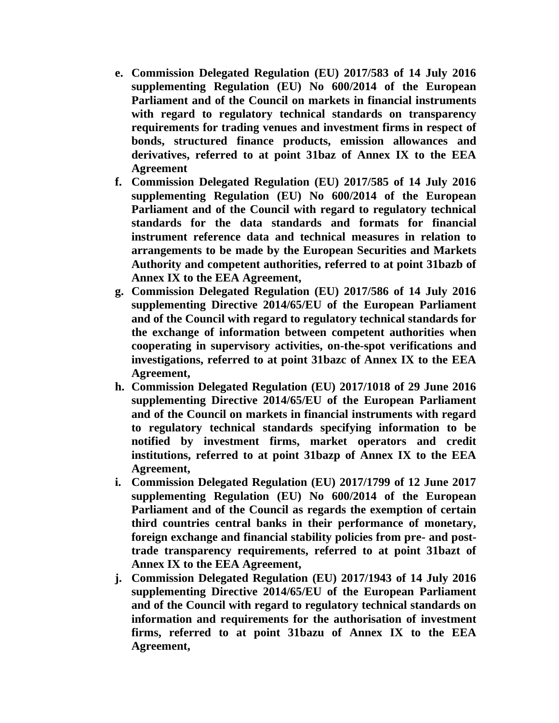- **e. Commission Delegated Regulation (EU) 2017/583 of 14 July 2016 supplementing Regulation (EU) No 600/2014 of the European Parliament and of the Council on markets in financial instruments with regard to regulatory technical standards on transparency requirements for trading venues and investment firms in respect of bonds, structured finance products, emission allowances and derivatives, referred to at point 31baz of Annex IX to the EEA Agreement**
- **f. Commission Delegated Regulation (EU) 2017/585 of 14 July 2016 supplementing Regulation (EU) No 600/2014 of the European Parliament and of the Council with regard to regulatory technical standards for the data standards and formats for financial instrument reference data and technical measures in relation to arrangements to be made by the European Securities and Markets Authority and competent authorities, referred to at point 31bazb of Annex IX to the EEA Agreement,**
- **g. Commission Delegated Regulation (EU) 2017/586 of 14 July 2016 supplementing Directive 2014/65/EU of the European Parliament and of the Council with regard to regulatory technical standards for the exchange of information between competent authorities when cooperating in supervisory activities, on-the-spot verifications and investigations, referred to at point 31bazc of Annex IX to the EEA Agreement,**
- **h. Commission Delegated Regulation (EU) 2017/1018 of 29 June 2016 supplementing Directive 2014/65/EU of the European Parliament and of the Council on markets in financial instruments with regard to regulatory technical standards specifying information to be notified by investment firms, market operators and credit institutions, referred to at point 31bazp of Annex IX to the EEA Agreement,**
- **i. Commission Delegated Regulation (EU) 2017/1799 of 12 June 2017 supplementing Regulation (EU) No 600/2014 of the European Parliament and of the Council as regards the exemption of certain third countries central banks in their performance of monetary, foreign exchange and financial stability policies from pre- and posttrade transparency requirements, referred to at point 31bazt of Annex IX to the EEA Agreement,**
- **j. Commission Delegated Regulation (EU) 2017/1943 of 14 July 2016 supplementing Directive 2014/65/EU of the European Parliament and of the Council with regard to regulatory technical standards on information and requirements for the authorisation of investment firms, referred to at point 31bazu of Annex IX to the EEA Agreement,**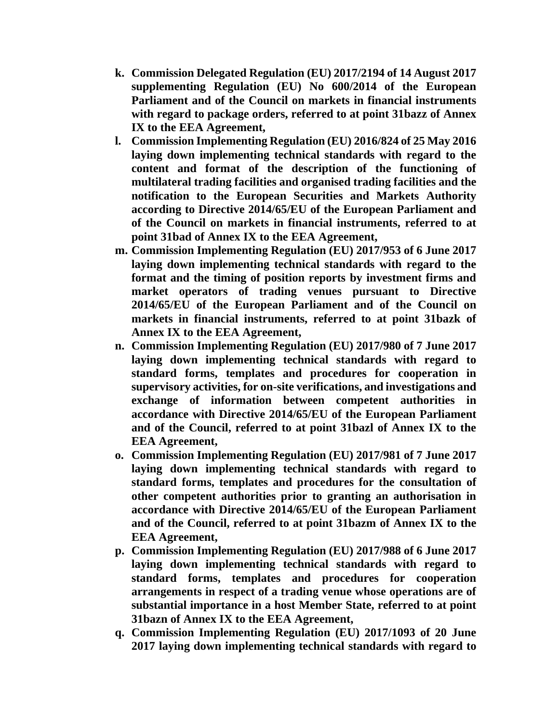- **k. Commission Delegated Regulation (EU) 2017/2194 of 14 August 2017 supplementing Regulation (EU) No 600/2014 of the European Parliament and of the Council on markets in financial instruments with regard to package orders, referred to at point 31bazz of Annex IX to the EEA Agreement,**
- **l. Commission Implementing Regulation (EU) 2016/824 of 25 May 2016 laying down implementing technical standards with regard to the content and format of the description of the functioning of multilateral trading facilities and organised trading facilities and the notification to the European Securities and Markets Authority according to Directive 2014/65/EU of the European Parliament and of the Council on markets in financial instruments, referred to at point 31bad of Annex IX to the EEA Agreement,**
- **m. Commission Implementing Regulation (EU) 2017/953 of 6 June 2017 laying down implementing technical standards with regard to the format and the timing of position reports by investment firms and market operators of trading venues pursuant to Directive 2014/65/EU of the European Parliament and of the Council on markets in financial instruments, referred to at point 31bazk of Annex IX to the EEA Agreement,**
- **n. Commission Implementing Regulation (EU) 2017/980 of 7 June 2017 laying down implementing technical standards with regard to standard forms, templates and procedures for cooperation in supervisory activities, for on-site verifications, and investigations and exchange of information between competent authorities in accordance with Directive 2014/65/EU of the European Parliament and of the Council, referred to at point 31bazl of Annex IX to the EEA Agreement,**
- **o. Commission Implementing Regulation (EU) 2017/981 of 7 June 2017 laying down implementing technical standards with regard to standard forms, templates and procedures for the consultation of other competent authorities prior to granting an authorisation in accordance with Directive 2014/65/EU of the European Parliament and of the Council, referred to at point 31bazm of Annex IX to the EEA Agreement,**
- **p. Commission Implementing Regulation (EU) 2017/988 of 6 June 2017 laying down implementing technical standards with regard to standard forms, templates and procedures for cooperation arrangements in respect of a trading venue whose operations are of substantial importance in a host Member State, referred to at point 31bazn of Annex IX to the EEA Agreement,**
- **q. Commission Implementing Regulation (EU) 2017/1093 of 20 June 2017 laying down implementing technical standards with regard to**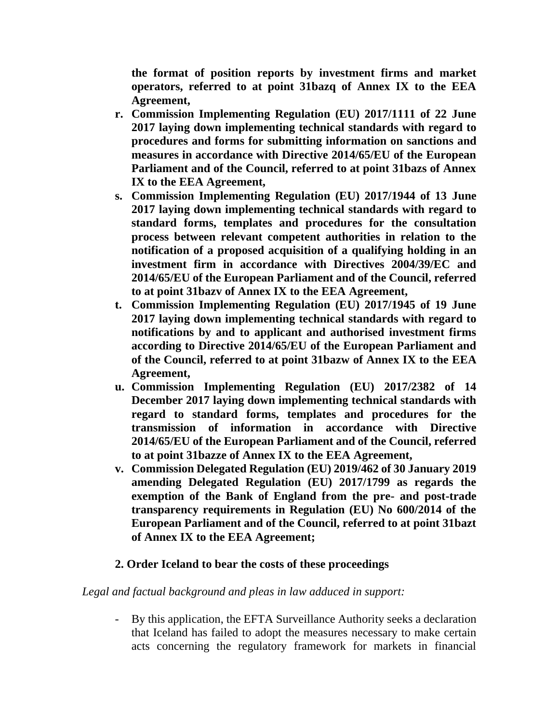**the format of position reports by investment firms and market operators, referred to at point 31bazq of Annex IX to the EEA Agreement,**

- **r. Commission Implementing Regulation (EU) 2017/1111 of 22 June 2017 laying down implementing technical standards with regard to procedures and forms for submitting information on sanctions and measures in accordance with Directive 2014/65/EU of the European Parliament and of the Council, referred to at point 31bazs of Annex IX to the EEA Agreement,**
- **s. Commission Implementing Regulation (EU) 2017/1944 of 13 June 2017 laying down implementing technical standards with regard to standard forms, templates and procedures for the consultation process between relevant competent authorities in relation to the notification of a proposed acquisition of a qualifying holding in an investment firm in accordance with Directives 2004/39/EC and 2014/65/EU of the European Parliament and of the Council, referred to at point 31bazv of Annex IX to the EEA Agreement,**
- **t. Commission Implementing Regulation (EU) 2017/1945 of 19 June 2017 laying down implementing technical standards with regard to notifications by and to applicant and authorised investment firms according to Directive 2014/65/EU of the European Parliament and of the Council, referred to at point 31bazw of Annex IX to the EEA Agreement,**
- **u. Commission Implementing Regulation (EU) 2017/2382 of 14 December 2017 laying down implementing technical standards with regard to standard forms, templates and procedures for the transmission of information in accordance with Directive 2014/65/EU of the European Parliament and of the Council, referred to at point 31bazze of Annex IX to the EEA Agreement,**
- **v. Commission Delegated Regulation (EU) 2019/462 of 30 January 2019 amending Delegated Regulation (EU) 2017/1799 as regards the exemption of the Bank of England from the pre- and post-trade transparency requirements in Regulation (EU) No 600/2014 of the European Parliament and of the Council, referred to at point 31bazt of Annex IX to the EEA Agreement;**

# **2. Order Iceland to bear the costs of these proceedings**

# *Legal and factual background and pleas in law adduced in support:*

- By this application, the EFTA Surveillance Authority seeks a declaration that Iceland has failed to adopt the measures necessary to make certain acts concerning the regulatory framework for markets in financial